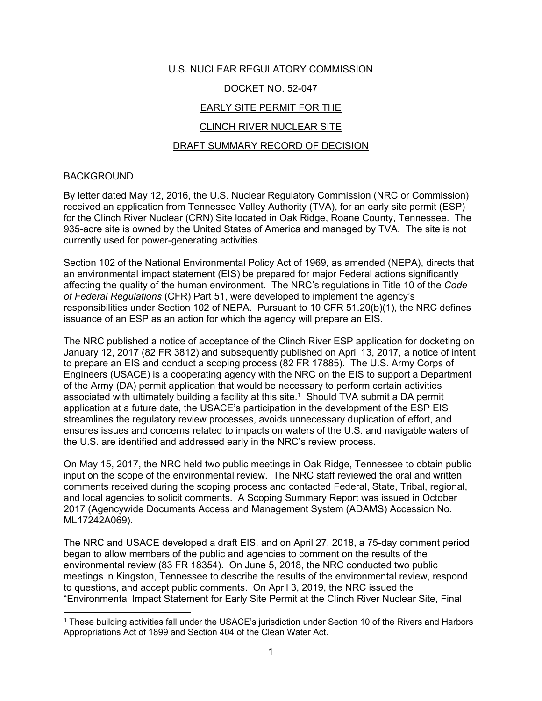# U.S. NUCLEAR REGULATORY COMMISSION DOCKET NO. 52-047 EARLY SITE PERMIT FOR THE CLINCH RIVER NUCLEAR SITE DRAFT SUMMARY RECORD OF DECISION

#### BACKGROUND

 $\overline{a}$ 

By letter dated May 12, 2016, the U.S. Nuclear Regulatory Commission (NRC or Commission) received an application from Tennessee Valley Authority (TVA), for an early site permit (ESP) for the Clinch River Nuclear (CRN) Site located in Oak Ridge, Roane County, Tennessee. The 935-acre site is owned by the United States of America and managed by TVA. The site is not currently used for power-generating activities.

Section 102 of the National Environmental Policy Act of 1969, as amended (NEPA), directs that an environmental impact statement (EIS) be prepared for major Federal actions significantly affecting the quality of the human environment. The NRC's regulations in Title 10 of the *Code of Federal Regulations* (CFR) Part 51, were developed to implement the agency's responsibilities under Section 102 of NEPA. Pursuant to 10 CFR 51.20(b)(1), the NRC defines issuance of an ESP as an action for which the agency will prepare an EIS.

The NRC published a notice of acceptance of the Clinch River ESP application for docketing on January 12, 2017 (82 FR 3812) and subsequently published on April 13, 2017, a notice of intent to prepare an EIS and conduct a scoping process (82 FR 17885). The U.S. Army Corps of Engineers (USACE) is a cooperating agency with the NRC on the EIS to support a Department of the Army (DA) permit application that would be necessary to perform certain activities associated with ultimately building a facility at this site.1 Should TVA submit a DA permit application at a future date, the USACE's participation in the development of the ESP EIS streamlines the regulatory review processes, avoids unnecessary duplication of effort, and ensures issues and concerns related to impacts on waters of the U.S. and navigable waters of the U.S. are identified and addressed early in the NRC's review process.

On May 15, 2017, the NRC held two public meetings in Oak Ridge, Tennessee to obtain public input on the scope of the environmental review. The NRC staff reviewed the oral and written comments received during the scoping process and contacted Federal, State, Tribal, regional, and local agencies to solicit comments. A Scoping Summary Report was issued in October 2017 (Agencywide Documents Access and Management System (ADAMS) Accession No. ML17242A069).

The NRC and USACE developed a draft EIS, and on April 27, 2018, a 75-day comment period began to allow members of the public and agencies to comment on the results of the environmental review (83 FR 18354). On June 5, 2018, the NRC conducted two public meetings in Kingston, Tennessee to describe the results of the environmental review, respond to questions, and accept public comments. On April 3, 2019, the NRC issued the "Environmental Impact Statement for Early Site Permit at the Clinch River Nuclear Site, Final

<sup>1</sup> These building activities fall under the USACE's jurisdiction under Section 10 of the Rivers and Harbors Appropriations Act of 1899 and Section 404 of the Clean Water Act.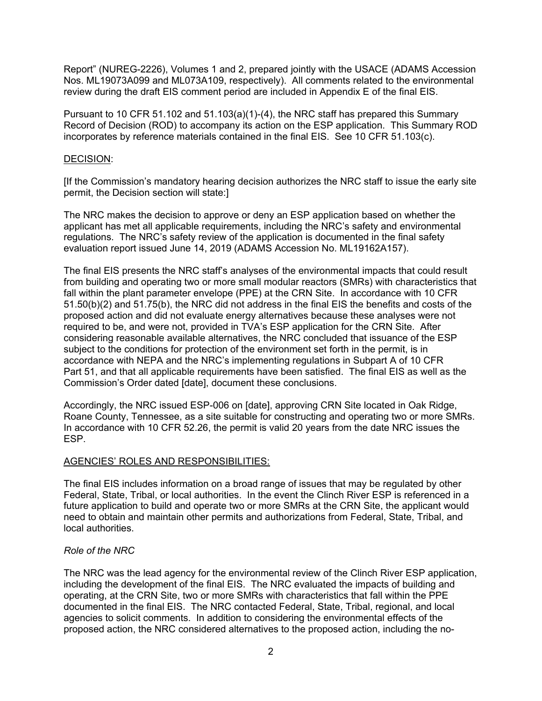Report" (NUREG-2226), Volumes 1 and 2, prepared jointly with the USACE (ADAMS Accession Nos. ML19073A099 and ML073A109, respectively). All comments related to the environmental review during the draft EIS comment period are included in Appendix E of the final EIS.

Pursuant to 10 CFR 51.102 and 51.103(a)(1)-(4), the NRC staff has prepared this Summary Record of Decision (ROD) to accompany its action on the ESP application. This Summary ROD incorporates by reference materials contained in the final EIS. See 10 CFR 51.103(c).

#### DECISION:

[If the Commission's mandatory hearing decision authorizes the NRC staff to issue the early site permit, the Decision section will state:]

The NRC makes the decision to approve or deny an ESP application based on whether the applicant has met all applicable requirements, including the NRC's safety and environmental regulations. The NRC's safety review of the application is documented in the final safety evaluation report issued June 14, 2019 (ADAMS Accession No. ML19162A157).

The final EIS presents the NRC staff's analyses of the environmental impacts that could result from building and operating two or more small modular reactors (SMRs) with characteristics that fall within the plant parameter envelope (PPE) at the CRN Site. In accordance with 10 CFR 51.50(b)(2) and 51.75(b), the NRC did not address in the final EIS the benefits and costs of the proposed action and did not evaluate energy alternatives because these analyses were not required to be, and were not, provided in TVA's ESP application for the CRN Site. After considering reasonable available alternatives, the NRC concluded that issuance of the ESP subject to the conditions for protection of the environment set forth in the permit, is in accordance with NEPA and the NRC's implementing regulations in Subpart A of 10 CFR Part 51, and that all applicable requirements have been satisfied. The final EIS as well as the Commission's Order dated [date], document these conclusions.

Accordingly, the NRC issued ESP-006 on [date], approving CRN Site located in Oak Ridge, Roane County, Tennessee, as a site suitable for constructing and operating two or more SMRs. In accordance with 10 CFR 52.26, the permit is valid 20 years from the date NRC issues the ESP.

## AGENCIES' ROLES AND RESPONSIBILITIES:

The final EIS includes information on a broad range of issues that may be regulated by other Federal, State, Tribal, or local authorities. In the event the Clinch River ESP is referenced in a future application to build and operate two or more SMRs at the CRN Site, the applicant would need to obtain and maintain other permits and authorizations from Federal, State, Tribal, and local authorities.

#### *Role of the NRC*

The NRC was the lead agency for the environmental review of the Clinch River ESP application, including the development of the final EIS. The NRC evaluated the impacts of building and operating, at the CRN Site, two or more SMRs with characteristics that fall within the PPE documented in the final EIS. The NRC contacted Federal, State, Tribal, regional, and local agencies to solicit comments. In addition to considering the environmental effects of the proposed action, the NRC considered alternatives to the proposed action, including the no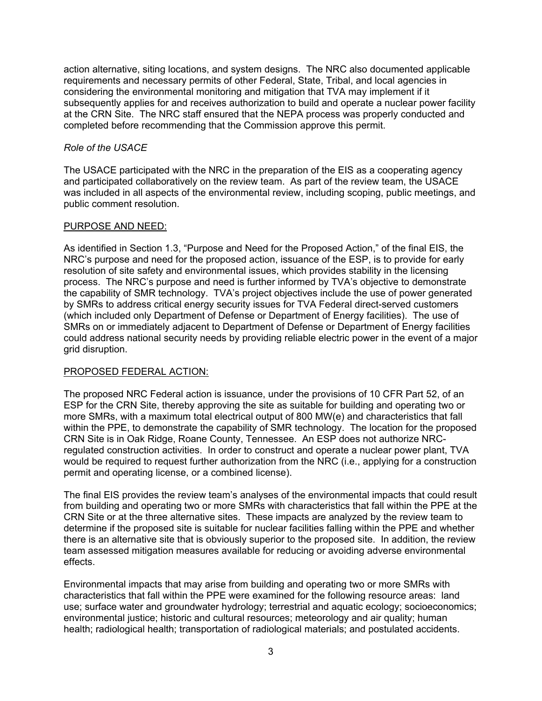action alternative, siting locations, and system designs. The NRC also documented applicable requirements and necessary permits of other Federal, State, Tribal, and local agencies in considering the environmental monitoring and mitigation that TVA may implement if it subsequently applies for and receives authorization to build and operate a nuclear power facility at the CRN Site. The NRC staff ensured that the NEPA process was properly conducted and completed before recommending that the Commission approve this permit.

## *Role of the USACE*

The USACE participated with the NRC in the preparation of the EIS as a cooperating agency and participated collaboratively on the review team. As part of the review team, the USACE was included in all aspects of the environmental review, including scoping, public meetings, and public comment resolution.

#### PURPOSE AND NEED:

As identified in Section 1.3, "Purpose and Need for the Proposed Action," of the final EIS, the NRC's purpose and need for the proposed action, issuance of the ESP, is to provide for early resolution of site safety and environmental issues, which provides stability in the licensing process. The NRC's purpose and need is further informed by TVA's objective to demonstrate the capability of SMR technology. TVA's project objectives include the use of power generated by SMRs to address critical energy security issues for TVA Federal direct-served customers (which included only Department of Defense or Department of Energy facilities). The use of SMRs on or immediately adjacent to Department of Defense or Department of Energy facilities could address national security needs by providing reliable electric power in the event of a major grid disruption.

## PROPOSED FEDERAL ACTION:

The proposed NRC Federal action is issuance, under the provisions of 10 CFR Part 52, of an ESP for the CRN Site, thereby approving the site as suitable for building and operating two or more SMRs, with a maximum total electrical output of 800 MW(e) and characteristics that fall within the PPE, to demonstrate the capability of SMR technology. The location for the proposed CRN Site is in Oak Ridge, Roane County, Tennessee. An ESP does not authorize NRCregulated construction activities. In order to construct and operate a nuclear power plant, TVA would be required to request further authorization from the NRC (i.e., applying for a construction permit and operating license, or a combined license).

The final EIS provides the review team's analyses of the environmental impacts that could result from building and operating two or more SMRs with characteristics that fall within the PPE at the CRN Site or at the three alternative sites. These impacts are analyzed by the review team to determine if the proposed site is suitable for nuclear facilities falling within the PPE and whether there is an alternative site that is obviously superior to the proposed site. In addition, the review team assessed mitigation measures available for reducing or avoiding adverse environmental effects.

Environmental impacts that may arise from building and operating two or more SMRs with characteristics that fall within the PPE were examined for the following resource areas: land use; surface water and groundwater hydrology; terrestrial and aquatic ecology; socioeconomics; environmental justice; historic and cultural resources; meteorology and air quality; human health; radiological health; transportation of radiological materials; and postulated accidents.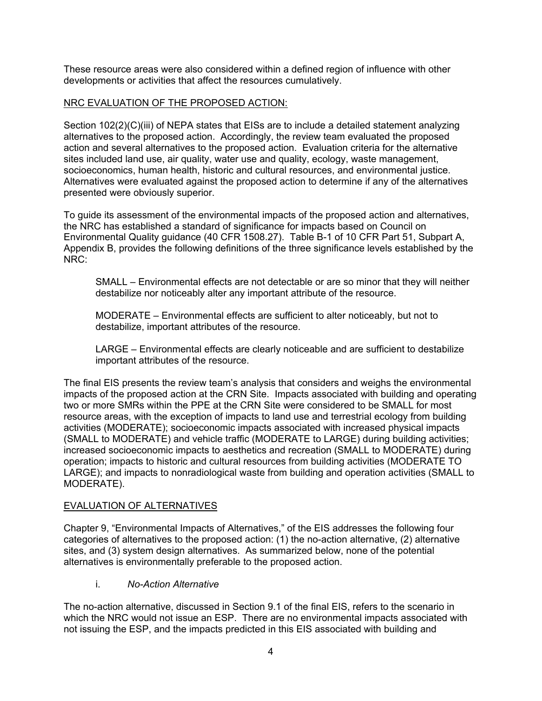These resource areas were also considered within a defined region of influence with other developments or activities that affect the resources cumulatively.

## NRC EVALUATION OF THE PROPOSED ACTION:

Section 102(2)(C)(iii) of NEPA states that EISs are to include a detailed statement analyzing alternatives to the proposed action. Accordingly, the review team evaluated the proposed action and several alternatives to the proposed action. Evaluation criteria for the alternative sites included land use, air quality, water use and quality, ecology, waste management, socioeconomics, human health, historic and cultural resources, and environmental justice. Alternatives were evaluated against the proposed action to determine if any of the alternatives presented were obviously superior.

To guide its assessment of the environmental impacts of the proposed action and alternatives, the NRC has established a standard of significance for impacts based on Council on Environmental Quality guidance (40 CFR 1508.27). Table B-1 of 10 CFR Part 51, Subpart A, Appendix B, provides the following definitions of the three significance levels established by the NRC:

SMALL – Environmental effects are not detectable or are so minor that they will neither destabilize nor noticeably alter any important attribute of the resource.

MODERATE – Environmental effects are sufficient to alter noticeably, but not to destabilize, important attributes of the resource.

LARGE – Environmental effects are clearly noticeable and are sufficient to destabilize important attributes of the resource.

The final EIS presents the review team's analysis that considers and weighs the environmental impacts of the proposed action at the CRN Site. Impacts associated with building and operating two or more SMRs within the PPE at the CRN Site were considered to be SMALL for most resource areas, with the exception of impacts to land use and terrestrial ecology from building activities (MODERATE); socioeconomic impacts associated with increased physical impacts (SMALL to MODERATE) and vehicle traffic (MODERATE to LARGE) during building activities; increased socioeconomic impacts to aesthetics and recreation (SMALL to MODERATE) during operation; impacts to historic and cultural resources from building activities (MODERATE TO LARGE); and impacts to nonradiological waste from building and operation activities (SMALL to MODERATE).

## EVALUATION OF ALTERNATIVES

Chapter 9, "Environmental Impacts of Alternatives," of the EIS addresses the following four categories of alternatives to the proposed action: (1) the no-action alternative, (2) alternative sites, and (3) system design alternatives. As summarized below, none of the potential alternatives is environmentally preferable to the proposed action.

## i. *No-Action Alternative*

The no-action alternative, discussed in Section 9.1 of the final EIS, refers to the scenario in which the NRC would not issue an ESP. There are no environmental impacts associated with not issuing the ESP, and the impacts predicted in this EIS associated with building and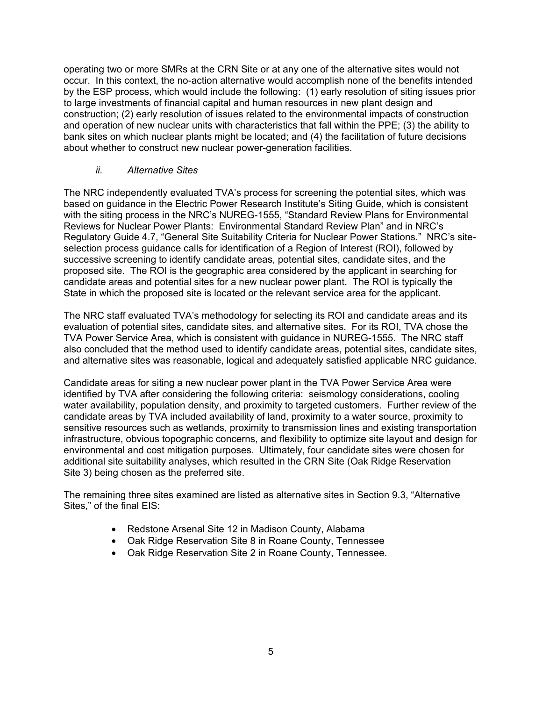operating two or more SMRs at the CRN Site or at any one of the alternative sites would not occur. In this context, the no-action alternative would accomplish none of the benefits intended by the ESP process, which would include the following: (1) early resolution of siting issues prior to large investments of financial capital and human resources in new plant design and construction; (2) early resolution of issues related to the environmental impacts of construction and operation of new nuclear units with characteristics that fall within the PPE; (3) the ability to bank sites on which nuclear plants might be located; and (4) the facilitation of future decisions about whether to construct new nuclear power-generation facilities.

## *ii. Alternative Sites*

The NRC independently evaluated TVA's process for screening the potential sites, which was based on guidance in the Electric Power Research Institute's Siting Guide, which is consistent with the siting process in the NRC's NUREG-1555, "Standard Review Plans for Environmental Reviews for Nuclear Power Plants: Environmental Standard Review Plan" and in NRC's Regulatory Guide 4.7, "General Site Suitability Criteria for Nuclear Power Stations." NRC's siteselection process guidance calls for identification of a Region of Interest (ROI), followed by successive screening to identify candidate areas, potential sites, candidate sites, and the proposed site. The ROI is the geographic area considered by the applicant in searching for candidate areas and potential sites for a new nuclear power plant. The ROI is typically the State in which the proposed site is located or the relevant service area for the applicant.

The NRC staff evaluated TVA's methodology for selecting its ROI and candidate areas and its evaluation of potential sites, candidate sites, and alternative sites. For its ROI, TVA chose the TVA Power Service Area, which is consistent with guidance in NUREG-1555. The NRC staff also concluded that the method used to identify candidate areas, potential sites, candidate sites, and alternative sites was reasonable, logical and adequately satisfied applicable NRC guidance.

Candidate areas for siting a new nuclear power plant in the TVA Power Service Area were identified by TVA after considering the following criteria: seismology considerations, cooling water availability, population density, and proximity to targeted customers. Further review of the candidate areas by TVA included availability of land, proximity to a water source, proximity to sensitive resources such as wetlands, proximity to transmission lines and existing transportation infrastructure, obvious topographic concerns, and flexibility to optimize site layout and design for environmental and cost mitigation purposes. Ultimately, four candidate sites were chosen for additional site suitability analyses, which resulted in the CRN Site (Oak Ridge Reservation Site 3) being chosen as the preferred site.

The remaining three sites examined are listed as alternative sites in Section 9.3, "Alternative Sites," of the final EIS:

- Redstone Arsenal Site 12 in Madison County, Alabama
- Oak Ridge Reservation Site 8 in Roane County, Tennessee
- Oak Ridge Reservation Site 2 in Roane County, Tennessee.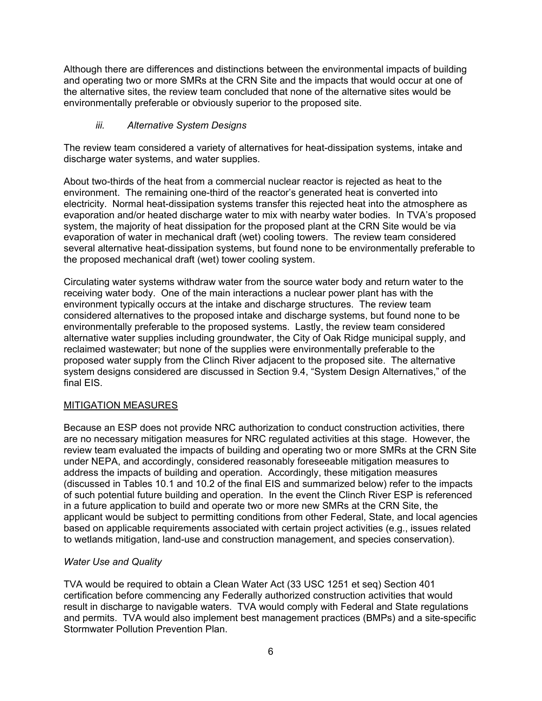Although there are differences and distinctions between the environmental impacts of building and operating two or more SMRs at the CRN Site and the impacts that would occur at one of the alternative sites, the review team concluded that none of the alternative sites would be environmentally preferable or obviously superior to the proposed site.

## *iii. Alternative System Designs*

The review team considered a variety of alternatives for heat-dissipation systems, intake and discharge water systems, and water supplies.

About two-thirds of the heat from a commercial nuclear reactor is rejected as heat to the environment. The remaining one-third of the reactor's generated heat is converted into electricity. Normal heat-dissipation systems transfer this rejected heat into the atmosphere as evaporation and/or heated discharge water to mix with nearby water bodies. In TVA's proposed system, the majority of heat dissipation for the proposed plant at the CRN Site would be via evaporation of water in mechanical draft (wet) cooling towers. The review team considered several alternative heat-dissipation systems, but found none to be environmentally preferable to the proposed mechanical draft (wet) tower cooling system.

Circulating water systems withdraw water from the source water body and return water to the receiving water body. One of the main interactions a nuclear power plant has with the environment typically occurs at the intake and discharge structures. The review team considered alternatives to the proposed intake and discharge systems, but found none to be environmentally preferable to the proposed systems. Lastly, the review team considered alternative water supplies including groundwater, the City of Oak Ridge municipal supply, and reclaimed wastewater; but none of the supplies were environmentally preferable to the proposed water supply from the Clinch River adjacent to the proposed site. The alternative system designs considered are discussed in Section 9.4, "System Design Alternatives," of the final EIS.

## MITIGATION MEASURES

Because an ESP does not provide NRC authorization to conduct construction activities, there are no necessary mitigation measures for NRC regulated activities at this stage. However, the review team evaluated the impacts of building and operating two or more SMRs at the CRN Site under NEPA, and accordingly, considered reasonably foreseeable mitigation measures to address the impacts of building and operation. Accordingly, these mitigation measures (discussed in Tables 10.1 and 10.2 of the final EIS and summarized below) refer to the impacts of such potential future building and operation. In the event the Clinch River ESP is referenced in a future application to build and operate two or more new SMRs at the CRN Site, the applicant would be subject to permitting conditions from other Federal, State, and local agencies based on applicable requirements associated with certain project activities (e.g., issues related to wetlands mitigation, land-use and construction management, and species conservation).

## *Water Use and Quality*

TVA would be required to obtain a Clean Water Act (33 USC 1251 et seq) Section 401 certification before commencing any Federally authorized construction activities that would result in discharge to navigable waters. TVA would comply with Federal and State regulations and permits. TVA would also implement best management practices (BMPs) and a site-specific Stormwater Pollution Prevention Plan.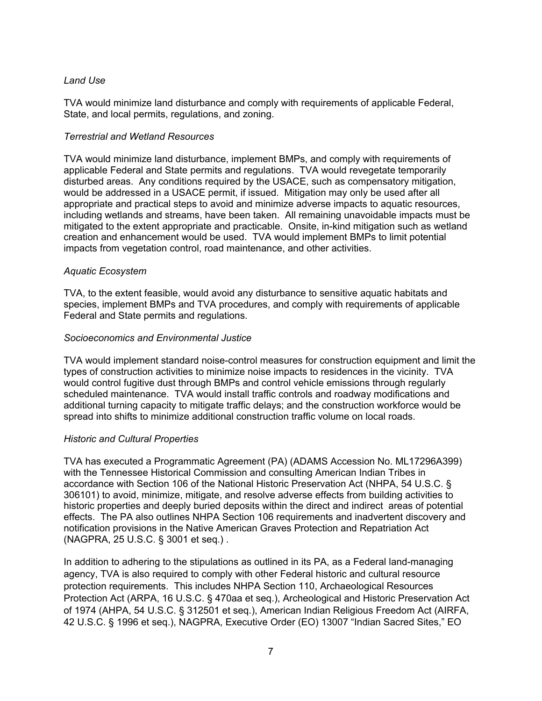## *Land Use*

TVA would minimize land disturbance and comply with requirements of applicable Federal, State, and local permits, regulations, and zoning.

#### *Terrestrial and Wetland Resources*

TVA would minimize land disturbance, implement BMPs, and comply with requirements of applicable Federal and State permits and regulations. TVA would revegetate temporarily disturbed areas. Any conditions required by the USACE, such as compensatory mitigation, would be addressed in a USACE permit, if issued. Mitigation may only be used after all appropriate and practical steps to avoid and minimize adverse impacts to aquatic resources, including wetlands and streams, have been taken. All remaining unavoidable impacts must be mitigated to the extent appropriate and practicable. Onsite, in-kind mitigation such as wetland creation and enhancement would be used. TVA would implement BMPs to limit potential impacts from vegetation control, road maintenance, and other activities.

#### *Aquatic Ecosystem*

TVA, to the extent feasible, would avoid any disturbance to sensitive aquatic habitats and species, implement BMPs and TVA procedures, and comply with requirements of applicable Federal and State permits and regulations.

#### *Socioeconomics and Environmental Justice*

TVA would implement standard noise-control measures for construction equipment and limit the types of construction activities to minimize noise impacts to residences in the vicinity. TVA would control fugitive dust through BMPs and control vehicle emissions through regularly scheduled maintenance. TVA would install traffic controls and roadway modifications and additional turning capacity to mitigate traffic delays; and the construction workforce would be spread into shifts to minimize additional construction traffic volume on local roads.

## *Historic and Cultural Properties*

TVA has executed a Programmatic Agreement (PA) (ADAMS Accession No. ML17296A399) with the Tennessee Historical Commission and consulting American Indian Tribes in accordance with Section 106 of the National Historic Preservation Act (NHPA, 54 U.S.C. § 306101) to avoid, minimize, mitigate, and resolve adverse effects from building activities to historic properties and deeply buried deposits within the direct and indirect areas of potential effects. The PA also outlines NHPA Section 106 requirements and inadvertent discovery and notification provisions in the Native American Graves Protection and Repatriation Act (NAGPRA, 25 U.S.C. § 3001 et seq.) .

In addition to adhering to the stipulations as outlined in its PA, as a Federal land-managing agency, TVA is also required to comply with other Federal historic and cultural resource protection requirements. This includes NHPA Section 110, Archaeological Resources Protection Act (ARPA, 16 U.S.C. § 470aa et seq.), Archeological and Historic Preservation Act of 1974 (AHPA, 54 U.S.C. § 312501 et seq.), American Indian Religious Freedom Act (AIRFA, 42 U.S.C. § 1996 et seq.), NAGPRA, Executive Order (EO) 13007 "Indian Sacred Sites," EO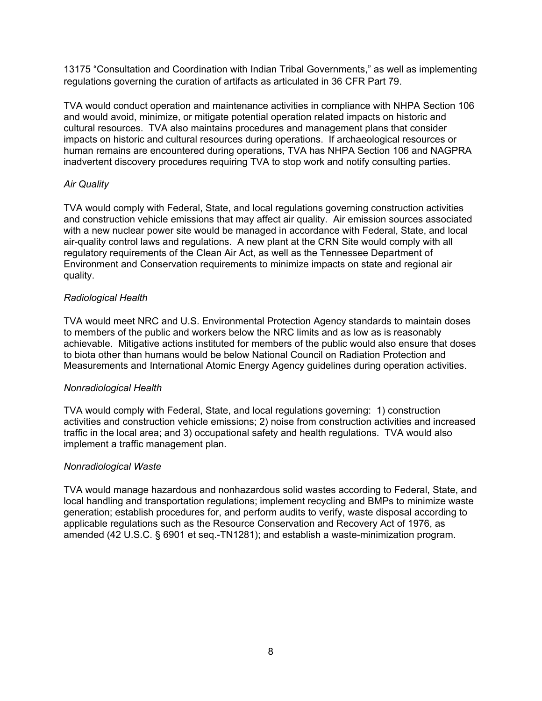13175 "Consultation and Coordination with Indian Tribal Governments," as well as implementing regulations governing the curation of artifacts as articulated in 36 CFR Part 79.

TVA would conduct operation and maintenance activities in compliance with NHPA Section 106 and would avoid, minimize, or mitigate potential operation related impacts on historic and cultural resources. TVA also maintains procedures and management plans that consider impacts on historic and cultural resources during operations. If archaeological resources or human remains are encountered during operations, TVA has NHPA Section 106 and NAGPRA inadvertent discovery procedures requiring TVA to stop work and notify consulting parties.

## *Air Quality*

TVA would comply with Federal, State, and local regulations governing construction activities and construction vehicle emissions that may affect air quality. Air emission sources associated with a new nuclear power site would be managed in accordance with Federal, State, and local air-quality control laws and regulations. A new plant at the CRN Site would comply with all regulatory requirements of the Clean Air Act, as well as the Tennessee Department of Environment and Conservation requirements to minimize impacts on state and regional air quality.

## *Radiological Health*

TVA would meet NRC and U.S. Environmental Protection Agency standards to maintain doses to members of the public and workers below the NRC limits and as low as is reasonably achievable. Mitigative actions instituted for members of the public would also ensure that doses to biota other than humans would be below National Council on Radiation Protection and Measurements and International Atomic Energy Agency guidelines during operation activities.

## *Nonradiological Health*

TVA would comply with Federal, State, and local regulations governing: 1) construction activities and construction vehicle emissions; 2) noise from construction activities and increased traffic in the local area; and 3) occupational safety and health regulations. TVA would also implement a traffic management plan.

## *Nonradiological Waste*

TVA would manage hazardous and nonhazardous solid wastes according to Federal, State, and local handling and transportation regulations; implement recycling and BMPs to minimize waste generation; establish procedures for, and perform audits to verify, waste disposal according to applicable regulations such as the Resource Conservation and Recovery Act of 1976, as amended (42 U.S.C. § 6901 et seq.-TN1281); and establish a waste-minimization program.